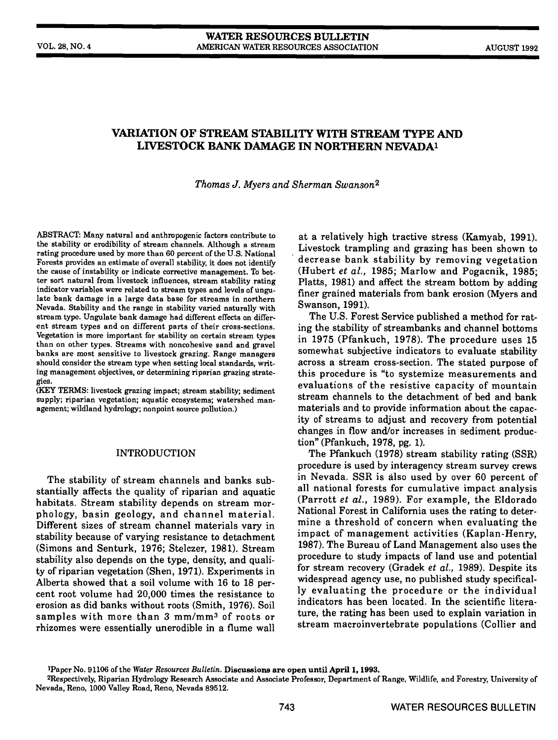### WATER RESOURCES BULLETIN VOL. 28, NO.4 AMERICAN WATER RESOURCES ASSOCIATION AUGUST 1992

# VARIATION OF STREAM STABILITY WITH STREAM TYPE AND LIVESTOCK BANK DAMAGE IN NORTHERN NEVADA<sup>1</sup>

Thomas J. Myers and Sherman Swanson2

ABSTRACT: Many natural and anthropogenic factors contribute to the stability or erodibility of stream channels. Although a stream rating procedure used by more than 60 percent of the U.S. National Forests provides an estimate of overall stability, it does not identify the cause of instability or indicate corrective management. To better sort natural from livestock influences, stream stability rating indicator variables were related to stream types and levels of ungulate bank damage in a large data base for streams in northern Nevada. Stability and the range in stability varied naturally with stream type. Ungulate bank damage had different effects on different stream types and on different parts of their cross-sections. Vegetation is more important for stability on certain stream types than on other types. Streams with noncohesive sand and gravel banks are most sensitive to livestock grazing. Range managers should consider the stream type when setting local standards, writing management objectives, or determining riparian grazing strategies.

(KEY TERMS: livestock grazing impact; stream stability; sediment supply; riparian vegetation; aquatic ecosystems; watershed management; wildland hydrology; nonpoint source pollution.)

## **INTRODUCTION**

The stability of stream channels and banks substantially affects the quality of riparian and aquatic habitats. Stream stability depends on stream mor-<br>phology, basin geology, and channel material. Different sizes of stream channel materials vary in stability because of varying resistance to detachment<br>(Simons and Sonturk, 1976; Stelgror, 1981), Stroom 1987). The Bureau of Land Management also uses the (Simons and Senturk, 1976; Stelczer, 1981). Stream stability also depends on the type, density, and quali-<br>ty of riparian vegetation (Shen, 1971). Experiments in Alberta showed that a soil volume with 16 to 18 per-<br>widespread agency use, no published study specificalcent root volume had 20,000 times the resistance to erosion as did banks without roots (Smith, 1976). Soil samples with more than 3 mm/mm3 of roots or rhizomes were essentially unerodible in a flume wall

at a relatively high tractive stress (Kamyab, 1991). Livestock trampling and grazing has been shown to decrease bank stability by removing vegetation (Hubert et al., 1985; Marlow and Pogacnik, 1985; Platts, 1981) and affect the stream bottom by adding finer grained materials from bank erosion (Myers and Swanson, 1991).

The U.S. Forest Service published a method for rating the stability of streambanks and channel bottoms in 1975 (Pfankuch, 1978). The procedure uses 15 somewhat subjective indicators to evaluate stability across a stream cross-section. The stated purpose of this procedure is "to systemize measurements and evaluations of the resistive capacity of mountain stream channels to the detachment of bed and bank materials and to provide information about the capacity of streams to adjust and recovery from potential changes in flow and/or increases in sediment production" (Pfankuch, 1978, pg. 1).

The Pfankuch (1978) stream stability rating (SSR) procedure is used by interagency stream survey crews in Nevada. SSR is also used by over 60 percent of all national forests for cumulative impact analysis (Parrott et al., 1989). For example, the Eldorado National Forest in California uses the rating to determine a threshold of concern when evaluating the impact of management activities (Kaplan-Henry, procedure to study impacts of land use and potential for stream recovery (Gradek et al., 1989). Despite its ly evaluating the procedure or the individual indicators has been located. In the scientific literature, the rating has been used to explain variation in stream macroinvertebrate populations (Collier and

Paper No. 91106 of the Water Resources Bulletin. Discussions are open until April 1, 1993.

<sup>2</sup>Respectively, Riparian Hydrology Research Associate and Associate Professor, Department of Range, Wildlife, and Forestry, University of Nevada, Reno, 1000 Valley Road, Reno, Nevada 89512.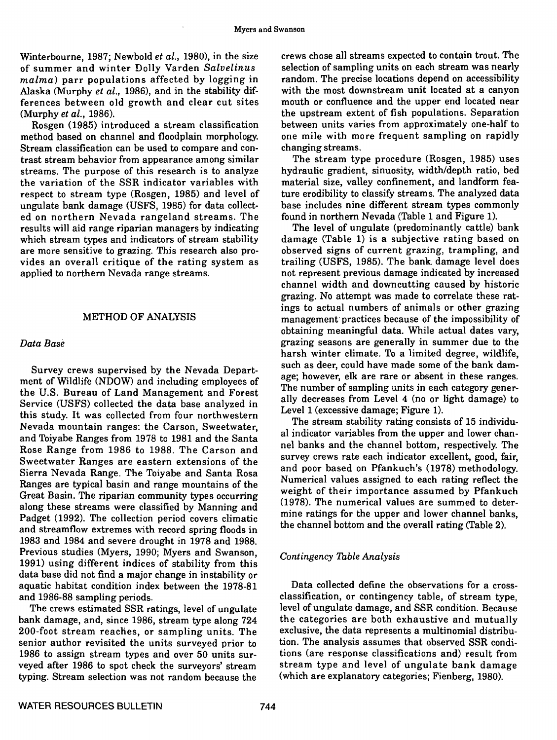Winterbourne, 1987; Newbold et al., 1980), in the size of summer and winter Dolly Varden Salvelinus malma) parr populations affected by logging in Alaska (Murphy *et al.*, 1986), and in the stability differences between old growth and clear cut sites (Murphy et al., 1986).

Rosgen (1985) introduced a stream classification method based on channel and floodplain morphology Stream classification can be used to compare and contrast stream behavior from appearance among similar streams. The purpose of this research is to analyze the variation of the SSR indicator variables with respect to stream type (Rosgen, 1985) and level of ungulate bank damage (USFS, 1985) for data collect- ed on northern Nevada rangeland streams. The results will aid range riparian managers by indicating which stream types and indicators of stream stability are more sensitive to grazing. This research also provides an overall critique of the rating system as applied to northern Nevada range streams.

## METHOD OF ANALYSIS

### Data Base

Survey crews supervised by the Nevada Depart- ment of Wildlife (NDOW) and including employees of the U.S. Bureau of Land Management and Forest Service (USFS) collected the data base analyzed in this study. It was collected from four northwestern Nevada mountain ranges: the Carson, Sweetwater, and Toiyabe Ranges from 1978 to 1981 and the Santa Rose Range from 1986 to 1988. The Carson and Sweetwater Ranges are eastern extensions of the Sierra Nevada Range. The Toiyabe and Santa Rosa Ranges are typical basin and range mountains of the Great Basin. The riparian community types occurring along these streams were classified by Manning and Padget (1992). The collection period covers climatic and streamfiow extremes with record spring floods in 1983 and 1984 and severe drought in 1978 and 1988. Previous studies (Myers, 1990; Myers and Swanson, 1991) using different indices of stability from this data base did not find a major change in instability or aquatic habitat condition index between the 1978-81 and 1986-88 sampling periods.

The crews estimated SSR ratings, level of ungulate bank damage, and, since 1986, stream type along 724 200-foot stream reaches, or sampling units. The senior author revisited the units surveyed prior to 1986 to assign stream types and over 50 units surveyed after 1986 to spot check the surveyors' stream typing. Stream selection was not random because the

crews chose all streams expected to contain trout. The selection of sampling units on each stream was nearly random. The precise locations depend on accessibility with the most downstream unit located at a canyon mouth or confluence and the upper end located near the upstream extent of fish populations. Separation between units varies from approximately one-half to one mile with more frequent sampling on rapidly changing streams.

The stream type procedure (Rosgen, 1985) uses hydraulic gradient, sinuosity, width/depth ratio, bed material size, valley confinement, and landform feature erodibility to classify streams. The analyzed data base includes nine different stream types commonly found in northern Nevada (Table 1 and Figure 1).

The level of ungulate (predominantly cattle) bank damage (Table 1) is a subjective rating based on observed signs of current grazing, trampling, and trailing (USFS, 1985). The bank, damage level does not represent previous damage indicated by increased channel width and downcutting caused by historic grazing. No attempt was made to correlate these ratings to actual numbers of animals or other grazing management practices because of the impossibility of obtaining meaningful data. While actual dates vary, grazing seasons are generally in summer due to the harsh winter climate. To a limited degree, wildlife, such as deer, could have made some of the bank damage; however, elk are rare or absent in these ranges. The number of sampling units in each category generally decreases from Level 4 (no or light damage) to Level 1 (excessive damage; Figure 1).

The stream stability rating consists of 15 individual indicator variables from the upper and lower channel banks and the channel bottom, respectively. The survey crews rate each indicator excellent, good, fair, and poor based on Pfankuch's (1978) methodology. Numerical values assigned to each rating reflect the weight of their importance assumed by Pfankuch (1978). The numerical values are summed to determine ratings for the upper and lower channel banks, the channel bottom and the overall rating (Table 2).

#### Contingency Table Analysis

Data collected define the observations for a crossclassification, or contingency table, of stream type, level of ungulate damage, and SSR condition. Because the categories are both exhaustive and mutually exclusive, the data represents a multinomial distribution. The analysis assumes that observed SSR conditions (are response classifications and) result from stream type and level of ungulate bank damage (which are explanatory categories; Fienberg, 1980).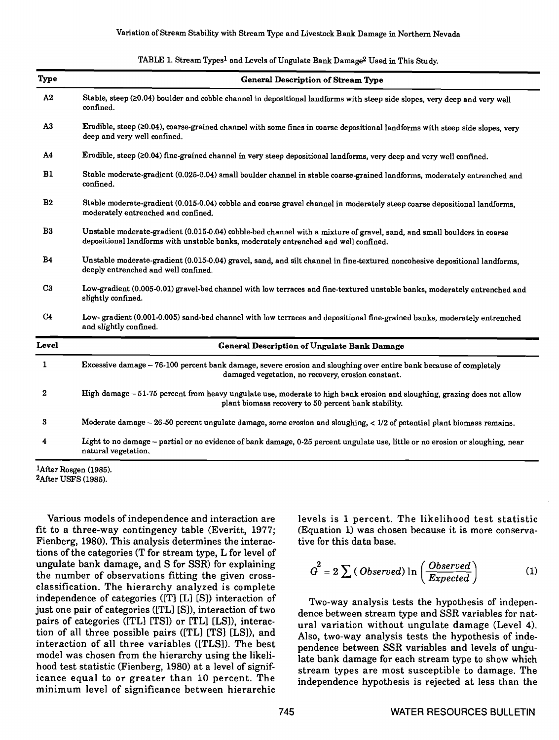|  | TABLE 1. Stream Types <sup>1</sup> and Levels of Ungulate Bank Damage <sup>2</sup> Used in This Study. |  |
|--|--------------------------------------------------------------------------------------------------------|--|
|--|--------------------------------------------------------------------------------------------------------|--|

| Type           | <b>General Description of Stream Type</b>                                                                                                                                                                       |
|----------------|-----------------------------------------------------------------------------------------------------------------------------------------------------------------------------------------------------------------|
| A2             | Stable, steep (20.04) boulder and cobble channel in depositional landforms with steep side slopes, very deep and very well<br>confined.                                                                         |
| A <sub>3</sub> | Erodible, steep (≥0.04), coarse-grained channel with some fines in coarse depositional landforms with steep side slopes, very<br>deep and very well confined.                                                   |
| A4             | Erodible, steep (20.04) fine-grained channel in very steep depositional landforms, very deep and very well confined.                                                                                            |
| B1             | Stable moderate-gradient (0.025-0.04) small boulder channel in stable coarse-grained landforms, moderately entrenched and<br>confined.                                                                          |
| B <sub>2</sub> | Stable moderate-gradient (0.015-0.04) cobble and coarse gravel channel in moderately steep coarse depositional landforms,<br>moderately entrenched and confined.                                                |
| B3             | Unstable moderate-gradient (0.015-0.04) cobble-bed channel with a mixture of gravel, sand, and small boulders in coarse<br>depositional landforms with unstable banks, moderately entrenched and well confined. |
| <b>B4</b>      | Unstable moderate-gradient (0.015-0.04) gravel, sand, and silt channel in fine-textured noncohesive depositional landforms,<br>deeply entrenched and well confined.                                             |
| C <sub>3</sub> | Low-gradient (0.005-0.01) gravel-bed channel with low terraces and fine-textured unstable banks, moderately entrenched and<br>slightly confined.                                                                |
| C <sub>4</sub> | Low-gradient (0.001-0.005) sand-bed channel with low terraces and depositional fine-grained banks, moderately entrenched<br>and slightly confined.                                                              |
| Level          | <b>General Description of Ungulate Bank Damage</b>                                                                                                                                                              |
| 1              | Excessive damage - 76-100 percent bank damage, severe erosion and sloughing over entire bank because of completely<br>damaged vegetation, no recovery, erosion constant.                                        |
| $\mathbf{2}$   | High damage - 51-75 percent from heavy ungulate use, moderate to high bank erosion and sloughing, grazing does not allow<br>plant biomass recovery to 50 percent bank stability.                                |
| 3              | Moderate damage $-26-50$ percent ungulate damage, some erosion and sloughing, $< 1/2$ of potential plant biomass remains.                                                                                       |
| 4              | Light to no damage - partial or no evidence of bank damage, 0-25 percent ungulate use, little or no erosion or sloughing, near<br>natural vegetation.                                                           |

1After Rosgen (1985). 2After USFS (1985).

Various models of independence and interaction are fit to a three-way contingency table (Everitt, 1977; Fienberg, 1980). This analysis determines the interactions of the categories (T for stream type, L for level of ungulate bank damage, and S for SSR) for explaining the number of observations fitting the given crossclassification. The hierarchy analyzed is complete independence of categories ( $[T]$  [L]  $[S]$ ) interaction of Two-way analysis tests the hypothesis of indepenjust one pair of categories ([TL] [S]), interaction of two pairs of categories ([TL] [TS]) or [TL] [LS]), interaction of all three possible pairs ([TL] [TS] [LS]), and interaction of all three variables ([TLSI). The best model was chosen from the hierarchy using the likelihood test statistic (Fienberg, 1980) at a level of significance equal to or greater than 10 percent. The minimum level of significance between hierarchic

levels is 1 percent. The likelihood test statistic (Equation 1) was chosen because it is more conservative for this data base.

$$
G^2 = 2 \sum (Observed) \ln \left( \frac{Observed}{Expected} \right) \tag{1}
$$

dence between stream type and SSR variables for natural variation without ungulate damage (Level 4). Also, two-way analysis tests the hypothesis of independence between SSR variables and levels of ungulate bank damage for each stream type to show which stream types are most susceptible to damage. The independence hypothesis is rejected at less than the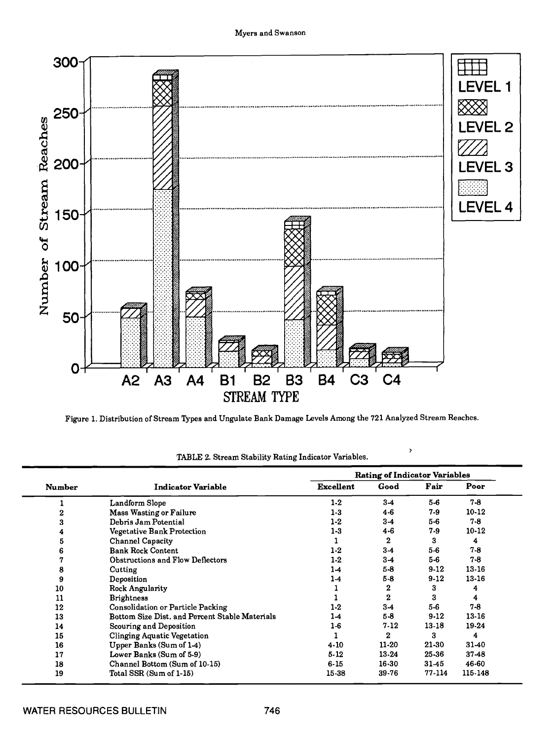

Figure 1. Distribution of Stream Types and Ungulate Bank Damage Levels Among the 721 Analyzed Stream Reaches.

|               |                                                |                  | <b>Rating of Indicator Variables</b> |           |           |
|---------------|------------------------------------------------|------------------|--------------------------------------|-----------|-----------|
| <b>Number</b> | <b>Indicator Variable</b>                      | <b>Excellent</b> | Good                                 | Fair      | Poor      |
|               | Landform Slope                                 | $1-2$            | $3-4$                                | 5-6       | $7-8$     |
|               | <b>Mass Wasting or Failure</b>                 | $1 - 3$          | $4 - 6$                              | 7.9       | $10-12$   |
| 3             | Debris Jam Potential                           | $1-2$            | $3-4$                                | $5 - 6$   | $7 - 8$   |
|               | Vegetative Bank Protection                     | $1 - 3$          | $4 - 6$                              | 7.9       | $10 - 12$ |
| 5             | <b>Channel Capacity</b>                        |                  | $\bf{2}$                             | 3         | 4         |
| 6             | <b>Bank Rock Content</b>                       | $1-2$            | $3-4$                                | $5-6$     | $7 - 8$   |
|               | Obstructions and Flow Deflectors               | 1-2              | $3-4$                                | $5-6$     | $7 - 8$   |
| 8             | Cutting                                        | 1-4              | $5-8$                                | $9-12$    | $13-16$   |
| 9             | Deposition                                     | 14               | $5-8$                                | $9-12$    | $13-16$   |
| 10            | Rock Angularity                                |                  | 2                                    | 3         | 4         |
| 11            | <b>Brightness</b>                              |                  | $\mathbf{2}$                         | 3         | 4         |
| 12            | Consolidation or Particle Packing              | $1-2$            | $3-4$                                | $5-6$     | $7 - 8$   |
| 13            | Bottom Size Dist, and Percent Stable Materials | 1-4              | $5 - 8$                              | $9-12$    | 13-16     |
| 14            | Scouring and Deposition                        | $1-6$            | $7-12$                               | 13-18     | 19-24     |
| 15            | Clinging Aquatic Vegetation                    |                  | $\bf{2}$                             | 3         | 4         |
| 16            | Upper Banks (Sum of 1-4)                       | 4-10             | $11-20$                              | $21 - 30$ | 31-40     |
| 17            | Lower Banks (Sum of 5-9)                       | $5-12$           | $13-24$                              | 25-36     | $37 - 48$ |
| 18            | Channel Bottom (Sum of 10-15)                  | $6 - 15$         | 16-30                                | 31-45     | 46-60     |
| 19            | Total SSR (Sum of 1-15)                        | 15-38            | 39-76                                | 77-114    | 115-148   |

TABLE 2. Stream Stability Rating Indicator Variables.

 $\bar{\mathbf{y}}$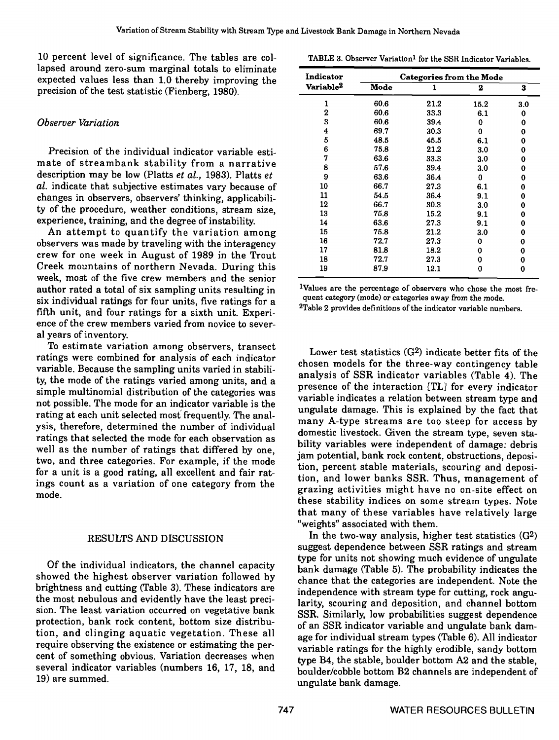10 percent level of significance. The tables are collapsed around zero-sum marginal totals to eliminate expected values less than 1.0 thereby improving the precision of the test statistic (Fienberg, 1980).

# Observer Variation

Precision of the individual indicator variable estimate of streambank stability from a narrative description may be low (Platts et al., 1983). Platts et al. indicate that subjective estimates vary because of changes in observers, observers' thinking, applicability of the procedure, weather conditions, stream size,

An attempt to quantify the variation among observers was made by traveling with the interagency crew for one week in August of 1989 in the Trout Creek mountains of northern Nevada. During this week, most of the five crew members and the senior author rated a total of six sampling units resulting in six individual ratings for four units, five ratings for a fifth unit, and four ratings for a sixth unit. Experience of the crew members varied from novice to several years of inventory.

To estimate variation among observers, transect ratings were combined for analysis of each indicator variable. Because the sampling units varied in stability, the mode of the ratings varied among units, and a simple multinomial distribution of the categories was not possible. The mode for an indicator variable is the rating at each unit selected most frequently. The analysis, therefore, determined the number of individual ratings that selected the mode for each observation as well as the number of ratings that differed by one, two, and three categories. For example, if the mode for a unit is a good rating, all excellent and fair ratings count as a variation of one category from the mode.

# RESULTS AND DISCUSSION

Of the individual indicators, the channel capacity showed the highest observer variation followed by brightness and cutting (Table 3). These indicators are the most nebulous and evidently have the least precision. The least variation occurred on vegetative bank SSR. Similarly, low probabilities suggest dependence protection, bank rock content, bottom size distribution, and clinging aquatic vegetation. These all require observing the existence or estimating the percent of something obvious. Variation decreases when several indicator variables (numbers 16, 17, 18, and 19) are summed.

TABLE 3. Observer Variation<sup>1</sup> for the SSR Indicator Variables.

| Indicator             |      | Categories from the Mode |      |     |
|-----------------------|------|--------------------------|------|-----|
| Variable <sup>2</sup> | Mode |                          | 2    | 3   |
| 1                     | 60.6 | 21.2                     | 15.2 | 3.0 |
| 2                     | 60.6 | 33.3                     | 6.1  | 0   |
| 3                     | 60.6 | 39.4                     | 0    | 0   |
| 4                     | 69.7 | 30.3                     | 0    | 0   |
| 5                     | 48.5 | 45.5                     | 6.1  | 0   |
| 6                     | 75.8 | 21.2                     | 3.0  | 0   |
| 7                     | 63.6 | 33.3                     | 3.0  | 0   |
| 8                     | 57.6 | 39.4                     | 3.0  | 0   |
| 9                     | 63.6 | 36.4                     | 0    | 0   |
| 10                    | 66.7 | 27.3                     | 6.1  | 0   |
| 11                    | 54.5 | 36.4                     | 9.1  | 0   |
| 12                    | 66.7 | 30.3                     | 3.0  | 0   |
| 13                    | 75.8 | 15.2                     | 9.1  | 0   |
| 14                    | 63.6 | 27.3                     | 9.1  | 0   |
| 15                    | 75.8 | 21.2                     | 3.0  | 0   |
| 16                    | 72.7 | 27.3                     | 0    | 0   |
| 17                    | 81.8 | 18.2                     | 0    | 0   |
| 18                    | 72.7 | 27.3                     | 0    | 0   |
| 19                    | 87.9 | 12.1                     | 0    | 0   |

1Values are the percentage of observers who chose the most frequent category (mode) or categories away from the mode.

2Table 2 provides definitions of the indicator variable numbers.

Lower test statistics (G2) indicate better fits of the chosen models for the three-way contingency table analysis of SSR indicator variables (Table 4). The presence of the interaction ITLI for every indicator variable indicates a relation between stream type and ungulate damage. This is explained by the fact that many A-type streams are too steep for access by domestic livestock. Given the stream type, seven stability variables were independent of damage: debris jam potential, bank rock content, obstructions, deposition, percent stable materials, scouring and deposition, and lower banks SSR. Thus, management of grazing activities might have no on-site effect on these stability indices on some stream types. Note that many of these variables have relatively large "weights" associated with them.

In the two-way analysis, higher test statistics  $(G<sup>2</sup>)$ suggest dependence between SSR ratings and stream type for units not showing much evidence of ungulate bank damage (Table 5). The probability indicates the chance that the categories are independent. Note the independence with stream type for cutting, rock angularity, scouring and deposition, and channel bottom of an SSR indicator variable and ungulate bank damage for individual stream types (Table 6). All indicator variable ratings for the highly erodible, sandy bottom type B4, the stable, boulder bottom A2 and the stable, boulder/cobble bottom B2 channels are independent of ungulate bank damage.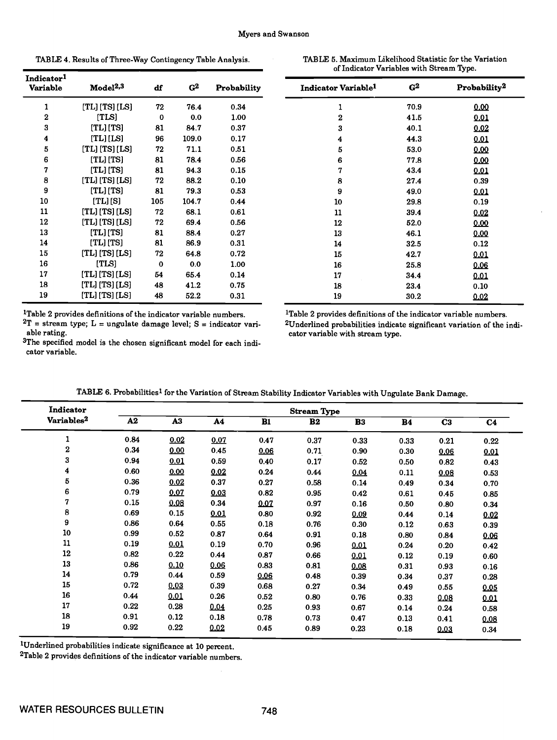TABLE 4. Results of Three-Way Contingency Table Analysis. The Variation Statistic for the Variation Statistic for

| ABLE 5. Maximum Likelihood Statistic for the Variation |                                          |  |
|--------------------------------------------------------|------------------------------------------|--|
|                                                        | of Indicator Variables with Stream Type. |  |

| Indicator <sup>1</sup><br>Variable | Model <sup>2,3</sup> | df       | $G^2$ | Probability | Ŀ |
|------------------------------------|----------------------|----------|-------|-------------|---|
| 1                                  | [TL] [TS] [LS]       | 72       | 76.4  | 0.34        |   |
| $\mathbf 2$                        | [TLS]                | $\bf{0}$ | 0.0   | 1.00        |   |
| 3                                  | [TL] [TS]            | 81       | 84.7  | 0.37        |   |
| 4                                  | [TL] [LS]            | 96       | 109.0 | 0.17        |   |
| 5                                  | $[TL]$ $[TS]$ $[LS]$ | 72       | 71.1  | 0.51        |   |
| 6                                  | $[TL]$ $[TS]$        | 81       | 78.4  | 0.56        |   |
| 7                                  | $[TL]$ $[TS]$        | 81       | 94.3  | 0.15        |   |
| 8                                  | [TL] [TS] [LS]       | 72       | 88.2  | 0.10        |   |
| 9                                  | $[TL]$ $[TS]$        | 81       | 79.3  | 0.53        |   |
| 10                                 | $[TL]$ $[S]$         | 105      | 104.7 | 0.44        |   |
| 11                                 | $[TL]$ $[TS]$ $[LS]$ | 72       | 68.1  | 0.61        |   |
| 12                                 | [TL] [TS] [LS]       | 72       | 69.4  | 0.56        |   |
| 13                                 | [TL] [TS]            | 81       | 88.4  | 0.27        |   |
| 14                                 | [TL] [TS]            | 81       | 86.9  | 0.31        |   |
| 15                                 | [TL] [TS] [LS]       | 72       | 64.8  | 0.72        |   |
| 16                                 | [TLS]                | 0        | 0.0   | 1.00        |   |
| 17                                 | [TL] [TS] [LS]       | 54       | 65.4  | 0.14        |   |
| 18                                 | [TL] [TS] [LS]       | 48       | 41.2  | 0.75        |   |
| 19                                 | [TL] [TS] [LS]       | 48       | 52.2  | 0.31        |   |

 ${}^{2}T$  = stream type; L = ungulate damage level; S = indicator vari-<br>able rating.<br>cator variable with stream type.

3The specified model is the chosen significant model for each indicator variable.

| Indicator Variable <sup>1</sup> | G <sup>2</sup> | Probability <sup>2</sup> |
|---------------------------------|----------------|--------------------------|
| 1                               | 70.9           | 0.00                     |
| 2                               | 41.5           | 0.01                     |
| 3                               | 40.1           | 0.02                     |
| 4                               | 44.3           | 0.01                     |
| 5                               | 53.0           | 0.00                     |
| 6                               | 77.8           | 0.00                     |
| 7                               | 43.4           | 0.01                     |
| 8                               | 27.4           | 0.39                     |
| 9                               | 49.0           | 0.01                     |
| 10                              | 29.8           | 0.19                     |
| 11                              | 39.4           | 0.02                     |
| 12                              | 52.0           | 0.00                     |
| 13                              | 46.1           | 0.00                     |
| 14                              | 32.5           | 0.12                     |
| 15                              | 42.7           | 0.01                     |
| 16                              | 25.8           | 0.06                     |
| 17                              | 34.4           | 0.01                     |
| 18                              | 23.4           | 0.10                     |
| 19                              | 30.2           | 0.02                     |

<sup>1</sup>Table 2 provides definitions of the indicator variable numbers. <sup>1</sup>Table 2 provides definitions of the indicator variable numbers.<br><sup>2</sup>T = stream type; L = ungulate damage level; S = indicator vari- <sup>2</sup>Underlined probab cator variable with stream type.

| Indicator              |            |                |      |      | <b>Stream Type</b> |      |           |                |                |
|------------------------|------------|----------------|------|------|--------------------|------|-----------|----------------|----------------|
| Variables <sup>2</sup> | ${\bf A2}$ | A <sub>3</sub> | A4   | B1   | B <sub>2</sub>     | B3   | <b>B4</b> | C <sub>3</sub> | C <sub>4</sub> |
| 1                      | 0.84       | 0.02           | 0.07 | 0.47 | 0.37               | 0.33 | 0.33      | 0.21           | 0.22           |
| $\bf{2}$               | 0.34       | 0.00           | 0.45 | 0.06 | 0.71               | 0.90 | 0.30      | 0.06           | 0.01           |
| 3                      | 0.94       | 0.01           | 0.59 | 0.40 | 0.17               | 0.52 | 0.50      | 0.82           | 0.43           |
| 4                      | 0.60       | 0.00           | 0.02 | 0.24 | 0.44               | 0.04 | 0.11      | 0.08           | 0.53           |
| 5                      | 0.36       | 0.02           | 0.37 | 0.27 | 0.58               | 0.14 | 0.49      | 0.34           | 0.70           |
| 6                      | 0.79       | 0.07           | 0.03 | 0.82 | 0.95               | 0.42 | 0.61      | 0.45           | 0.85           |
| 7                      | 0.15       | 0.08           | 0.34 | 0.07 | 0.97               | 0.16 | 0.50      | 0.80           | 0.34           |
| 8                      | 0.69       | 0.15           | 0.01 | 0.80 | 0.92               | 0.09 | 0.44      | 0.14           | 0.02           |
| 9                      | 0.86       | 0.64           | 0.55 | 0.18 | 0.76               | 0.30 | 0.12      | 0.63           | 0.39           |
| 10                     | 0.99       | 0.52           | 0.87 | 0.64 | 0.91               | 0.18 | 0.80      | 0.84           | 0.06           |
| ${\bf 11}$             | 0.19       | 0.01           | 0.19 | 0.70 | 0.96               | 0.01 | 0.24      | 0.20           | 0.42           |
| 12                     | 0.82       | 0.22           | 0.44 | 0.87 | 0.66               | 0.01 | 0.12      | 0.19           | 0.60           |
| 13                     | 0.86       | 0.10           | 0.06 | 0.83 | 0.81               | 0.08 | 0.31      | 0.93           | 0.16           |
| 14                     | 0.79       | 0.44           | 0.59 | 0.06 | 0.48               | 0.39 | 0.34      | 0.37           | 0.28           |
| 15                     | 0.72       | 0.03           | 0.39 | 0.68 | 0.27               | 0.34 | 0.49      | 0.55           | 0.05           |
| 16                     | 0.44       | 0.01           | 0.26 | 0.52 | 0.80               | 0.76 | 0.33      | 0.08           | 0.01           |
| 17                     | 0.22       | 0.28           | 0.04 | 0.25 | 0.93               | 0.67 | 0.14      | 0.24           | 0.58           |
| 18                     | 0.91       | 0.12           | 0.18 | 0.78 | 0.73               | 0.47 | 0.13      | 0.41           | 0.08           |
| 19                     | 0.92       | 0.22           | 0.02 | 0.45 | 0.89               | 0.23 | 0.18      | 0.03           | 0.34           |

TABLE 6. Probabilities1 for the Variation of Stream Stability Indicator Variables with Ungulate Bank Damage.

1Underlined probabilities indicate significance at 10 percent.

2Table 2 provides definitions of the indicator variable numbers.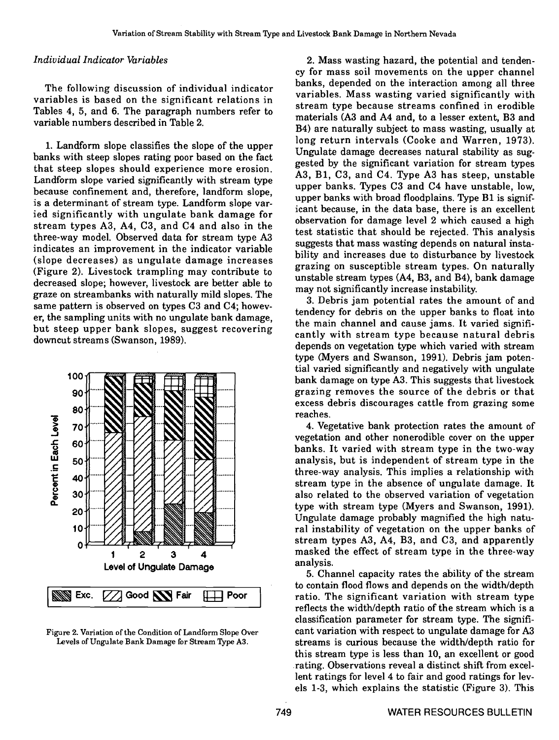### Individual Indicator Variables

The following discussion of individual indicator variables is based on the significant relations in Tables 4, 5, and 6. The paragraph numbers refer to variable numbers described in Table 2.

banks with steep slopes rating poor based on the fact that steep slopes should experience more erosion. <br>A3, B1, C3, and C4. Type A3 has steep, unstable Landform slope varied significantly with stream type because confinement and, therefore, landform slope, is a determinant of stream type. Landform slope varied significantly with ungulate bank damage for stream types A3, A4, C3, and C4 and also in the three-way model. Observed data for stream type A3 indicates an improvement in the indicator variable (slope decreases) as ungulate damage increases (Figure 2). Livestock trampling may contribute to decreased slope; however, livestock are better able to may not significantly increase instability. graze on streambanks with naturally mild slopes. The same pattern is observed on types C3 and C4; however, the sampling units with no ungulate bank damage, but steep upper bank slopes, suggest recovering downcut streams (Swanson, 1989).



Figure 2. Variation of the Condition of Landform Slope Over Levels of Ungulate Bank Damage for Stream Type A3.

1. Landform slope classifies the slope of the upper<br>Ungulate damage decreases natural stability as sug-2. Mass wasting hazard, the potential and tendency for mass soil movements on the upper channel banks, depended on the interaction among all three variables. Mass wasting varied significantly with stream type because streams confined in erodible materials (A3 and A4 and, to a lesser extent, B3 and B4) are naturally subject to mass wasting, usually at long return intervals (Cooke and Warren, 1973). gested by the significant variation for stream types upper banks. Types C3 and C4 have unstable, low, upper banks with broad floodplains. Type B1 is significant because, in the data base, there is an excellent observation for damage level 2 which caused a high test statistic that should be rejected. This analysis suggests that mass wasting depends on natural instability and increases due to disturbance by livestock grazing on susceptible stream types. On naturally unstable stream types (A4, B3, and B4), bank damage

> 3. Debris jam potential rates the amount of and tendency for debris on the upper banks to float into the main channel and cause jams. It varied significantly with stream type because natural debris depends on vegetation type which varied with stream type (Myers and Swanson, 1991). Debris jam potential varied significantly and negatively with ungulate bank damage on type A3. This suggests that livestock grazing removes the source of the debris or that excess debris discourages cattle from grazing some reaches.

> 4. Vegetative bank protection rates the amount of vegetation and other nonerodible cover on the upper banks. It varied with stream type in the two-way analysis, but is independent of stream type in the three-way analysis. This implies a relationship with stream type in the absence of ungulate damage. It also related to the observed variation of vegetation type with stream type (Myers and Swanson, 1991). ral instability of vegetation on the upper banks of stream types A3, A4, B3, and C3, and apparently masked the effect of stream type in the three-way analysis. 5. Channel capacity rates the ability of the stream

> to contain flood flows and depends on the width/depth ratio. The significant variation with stream type reflects the width/depth ratio of the stream which is a classification parameter for stream type. The significant variation with respect to ungulate damage for A3 streams is curious because the width/depth ratio for this stream type is less than 10, an excellent or good rating. Observations reveal a distinct shift from excellent ratings for level 4 to fair and good ratings for levels 1-3, which explains the statistic (Figure 3). This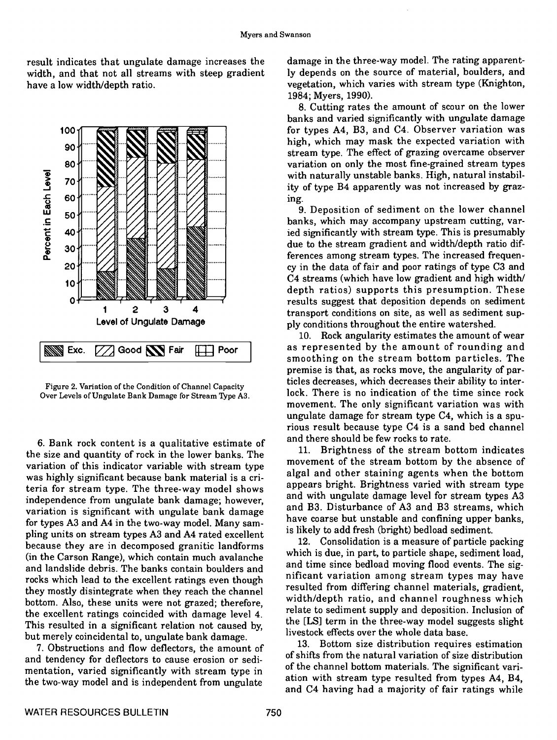result indicates that ungulate damage increases the width, and that not all streams with steep gradient have a low width/depth ratio.



Figure 2. Variation of the Condition of Channel Capacity Over Levels of Ungulate Bank Damage for Stream Type A3.

6. Bank rock content is a qualitative estimate of the size and quantity of rock in the lower banks. The variation of this indicator variable with stream type was highly significant because bank material is a criteria for stream type. The three-way model shows independence from ungulate bank damage; however, variation is significant with ungulate bank damage for types A3 and A4 in the two-way model. Many sampling units on stream types A3 and A4 rated excellent because they are in decomposed granitic landforms (in the Carson Range), which contain much avalanche and landslide debris. The banks contain boulders and rocks which lead to the excellent ratings even though they mostly disintegrate when they reach the channel bottom. Also, these units were not grazed; therefore, the excellent ratings coincided with damage level 4. This resulted in a significant relation not caused by, but merely coincidental to, ungulate bank damage. 7. Obstructions and flow deflectors, the amount of

and tendency for deflectors to cause erosion or sedimentation, varied significantly with stream type in the two-way model and is independent from ungulate damage in the three-way model. The rating apparently depends on the source of material, boulders, and vegetation, which varies with stream type (Knighton, 1984; Myers, 1990). 8. Cutting rates the amount of scour on the lower

banks and varied significantly with ungulate damage for types A4, B3, and C4. Observer variation was high, which may mask the expected variation with stream type. The effect of grazing overcame observer variation on only the most fine-grained stream types with naturally unstable banks. High, natural instability of type B4 apparently was not increased by graz-

9. Deposition of sediment on the lower channel banks, which may accompany upstream cutting, varied significantly with stream type. This is presumably due to the stream gradient and width/depth ratio differences among stream types. The increased frequency in the data of fair and poor ratings of type C3 and C4 streams (which have low gradient and high width/ depth ratios) supports this presumption. These results suggest that deposition depends on sediment transport conditions on site, as well as sediment supply conditions throughout the entire watershed.

10. Rock angularity estimates the amount of wear as represented by the amount of rounding and smoothing on the stream bottom particles. The premise is that, as rocks move, the angularity of particles decreases, which decreases their ability to interlock. There is no indication of the time since rock movement. The only significant variation was with ungulate damage for stream type C4, which is a spu- rious result because type C4 is a sand bed channel and there should be few rocks to rate.

11. Brightness of the stream bottom indicates movement of the stream bottom by the absence of algal and other staining agents when the bottom appears bright. Brightness varied with stream type and with ungulate damage level for stream types A3 and B3. Disturbance of A3 and B3 streams, which have coarse but unstable and confining upper banks, is likely to add fresh (bright) bedload sediment.

12. Consolidation is a measure of particle packing which is due, in part, to particle shape, sediment load, and time since bedload moving flood events. The significant variation among stream types may have resulted from differing channel materials, gradient, width/depth ratio, and channel roughness which relate to sediment supply and deposition. Inclusion of the [LS] term in the three-way model suggests slight livestock effects over the whole data base.

13. Bottom size distribution requires estimation of shifts from the natural variation of size distribution of the channel bottom materials. The significant variation with stream type resulted from types A4, B4, and C4 having had a majority of fair ratings while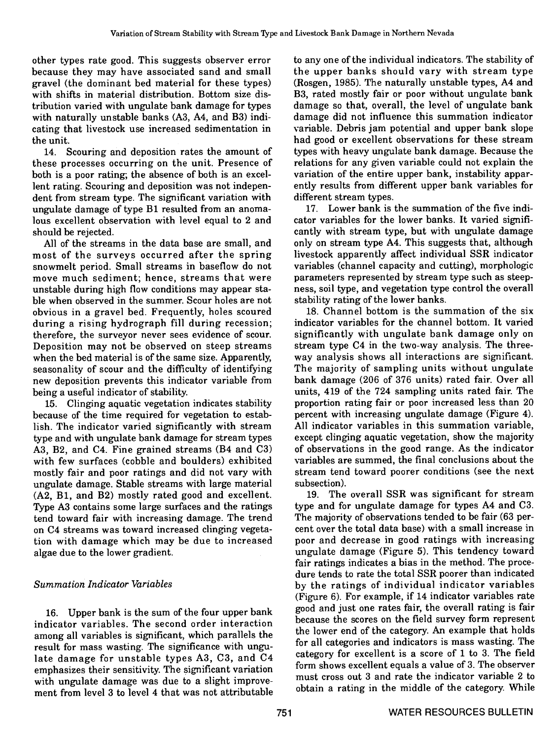other types rate good. This suggests observer error because they may have associated sand and small gravel (the dominant bed material for these types) with shifts in material distribution. Bottom size distribution varied with ungulate bank damage for types with naturally unstable banks (A3, A4, and B3) indicating that livestock use increased sedimentation in the unit.

14. Scouring and deposition rates the amount of these processes occurring on the unit. Presence of both is a poor rating; the absence of both is an excellent rating. Scouring and deposition was not independent from stream type. The significant variation with ungulate damage of type Bi resulted from an anomalous excellent observation with level equal to 2 and should be rejected.

All of the streams in the data base are small, and most of the surveys occurred after the spring snowmelt period. Small streams in baseflow do not move much sediment; hence, streams that were unstable during high flow conditions may appear stable when observed in the summer. Scour holes are not obvious in a gravel bed. Frequently, holes scoured during a rising hydrograph fill during recession; therefore, the surveyor never sees evidence of scour. Deposition may not be observed on steep streams when the bed material is of the same size. Apparently, seasonality of scour and the difficulty of identifying new deposition prevents this indicator variable from being a useful indicator of stability.

because of the time required for vegetation to establish. The indicator varied significantly with stream All indicator variables in this summation variable,<br>type and with ungulate bank damage for stream types except clinging aquatic vegetation, show the majority type and with ungulate bank damage for stream types A3, B2, and C4. Fine grained streams (B4 and C3) with few surfaces (cobble and boulders) exhibited mostly fair and poor ratings and did not vary with ungulate damage. Stable streams with large material (A2, Bi, and B2) mostly rated good and excellent. Type A3 contains some large surfaces and the ratings tend toward fair with increasing damage. The trend on C4 streams was toward increased clinging vegetation with damage which may be due to increased algae due to the lower gradient.

# Summation Indicator Variables

16. Upper bank is the sum of the four upper bank indicator variables. The second order interaction among all variables is significant, which parallels the result for mass wasting. The significance with ungulate damage for unstable types A3, C3, and C4 emphasizes their sensitivity. The significant variation with ungulate damage was due to a slight improvement from level 3 to level 4 that was not attributable to any one of the individual indicators. The stability of the upper banks should vary with stream type (Rosgen, 1985). The naturally unstable types, A4 and B3, rated mostly fair or poor without ungulate bank damage so that, overall, the level of ungulate bank damage did not influence this summation indicator variable. Debris jam potential and upper bank slope had good or excellent observations for these stream types with heavy ungulate bank damage. Because the relations for any given variable could not explain the variation of the entire upper bank, instability apparently results from different upper bank variables for different stream types.

17. Lower bank is the summation of the five indicator variables for the lower banks. It varied significantly with stream type, but with ungulate damage only on stream type A4. This suggests that, although livestock apparently affect individual SSR indicator variables (channel capacity and cutting), morphologic parameters represented by stream type such as steepness, soil type, and vegetation type control the overall stability rating of the lower banks.

15. Clinging aquatic vegetation indicates stability proportion rating fair or poor increased less than 20<br>cause of the time required for vegetation to estab- percent with increasing ungulate damage (Figure 4). 18. Channel bottom is the summation of the six indicator variables for the channel bottom. It varied significantly with ungulate bank damage only on stream type C4 in the two-way analysis. The threeway analysis shows all interactions are significant. The majority of sampling units without ungulate bank damage (206 of 376 units) rated fair. Over all units, 419 of the 724 sampling units rated fair. The proportion rating fair or poor increased less than 20 All indicator variables in this summation variable, of observations in the good range. As the indicator variables are summed, the final conclusions about the stream tend toward poorer conditions (see the next subsection).

19. The overall SSR was significant for stream type and for ungulate damage for types A4 and C3. The majority of observations tended to be fair (63 percent over the total data base) with a small increase in poor and decrease in good ratings with increasing ungulate damage (Figure 5). This tendency toward fair ratings indicates a bias in the method. The procedure tends to rate the total SSR poorer than indicated by the ratings of individual indicator variables (Figure 6). For example, if 14 indicator variables rate good and just one rates fair, the overall rating is fair because the scores on the field survey form represent the lower end of the category. An example that holds for all categories and indicators is mass wasting. The category for excellent is a score of 1 to 3. The field form shows excellent equals a value of 3. The observer must cross out 3 and rate the indicator variable 2 to obtain a rating in the middle of the category. While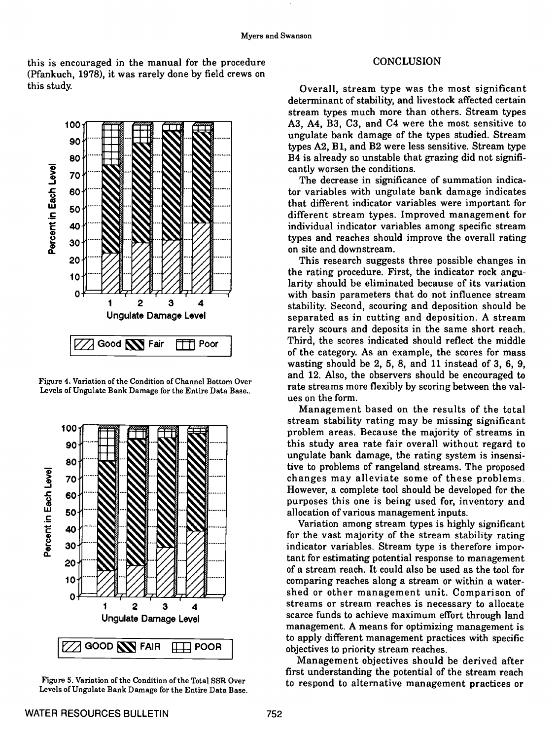this is encouraged in the manual for the procedure (Pfankuch, 1978), it was rarely done by field crews on this study.



Figure 4. Variation of the Condition of Channel Bottom Over Levels of Ungulate Bank Damage for the Entire Data Base..



Figure 5. Variation of the Condition of the Total SSR Over Levels of Ungulate Bank Damage for the Entire Data Base.

### **CONCLUSION**

Overall, stream type was the most significant determinant of stability, and livestock affected certain stream types much more than others. Stream types A3, A4, B3, C3, and C4 were the most sensitive to ungulate bank damage of the types studied. Stream types A2, Bi, and B2 were less sensitive. Stream type B4 is already so unstable that grazing did not significantly worsen the conditions.

The decrease in significance of summation indicator variables with ungulate bank damage indicates that different indicator variables were important for different stream types. Improved management for individual indicator variables among specific stream types and reaches should improve the overall rating on site and downstream.

This research suggests three possible changes in the rating procedure. First, the indicator rock angularity should be eliminated because of its variation with basin parameters that do not influence stream stability. Second, scouring and deposition should be separated as in cutting and deposition. A stream rarely scours and deposits in the same short reach. Third, the scores indicated should reflect the middle of the category. As an example, the scores for mass wasting should be 2, 5, 8, and 11 instead of 3, 6, 9, and 12. Also, the observers should be encouraged to rate streams more flexibly by scoring between the values on the form.

Management based on the results of the total stream stability rating may be missing significant problem areas. Because the majority of streams in this study area rate fair overall without regard to ungulate bank damage, the rating system is insensitive to problems of rangeland streams. The proposed changes may alleviate some of these problems However, a complete tool should be developed for the purposes this one is being used for, inventory and allocation of various management inputs.

Variation among stream types is highly significant for the vast majority of the stream stability rating indicator variables. Stream type is therefore important for estimating potential response to management of a stream reach. It could also be used as the tool for comparing reaches along a stream or within a watershed or other management unit. Comparison of streams or stream reaches is necessary to allocate scarce funds to achieve maximum effort through land management. A means for optimizing management is to apply different management practices with specific objectives to priority stream reaches.

Management objectives should be derived after first understanding the potential of the stream reach to respond to alternative management practices or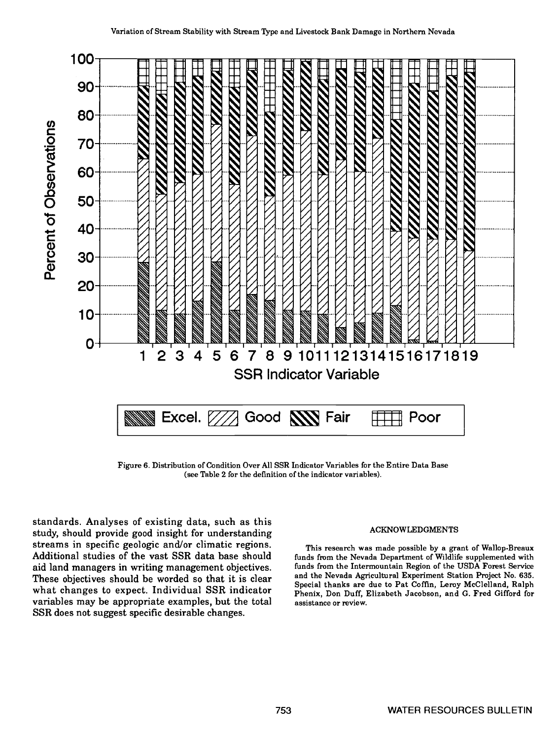

Figure 6. Distribution of Condition Over All SSR Indicator Variables for the Entire Data Base (see Table 2 for the definition of the indicator variables).

standards. Analyses of existing data, such as this study, should provide good insight for understanding streams in specific geologic and/or climatic regions. Additional studies of the vast SSR data base should aid land managers in writing management objectives. It is first funds from the Intermountain Region of the USDA Forest Service<br>These objectives should be worded so that it is clear and the Nevada Agricultural Experiment St what changes to expect. Individual SSR indicator variables may be appropriate examples, but the total SSR does not suggest specific desirable changes.

#### ACKNOWLEDGMENTS

This research was made possible by a grant of Wallop-Breaux funds from the Nevada Department of Wildlife supplemented with funds from the Intermountain Region of the USDA Forest Service and the Nevada Agricultural Experiment Station Project No. 635. Phenix, Don Duff, Elizabeth Jacobson, and G. Fred Gifford for assistance or review.